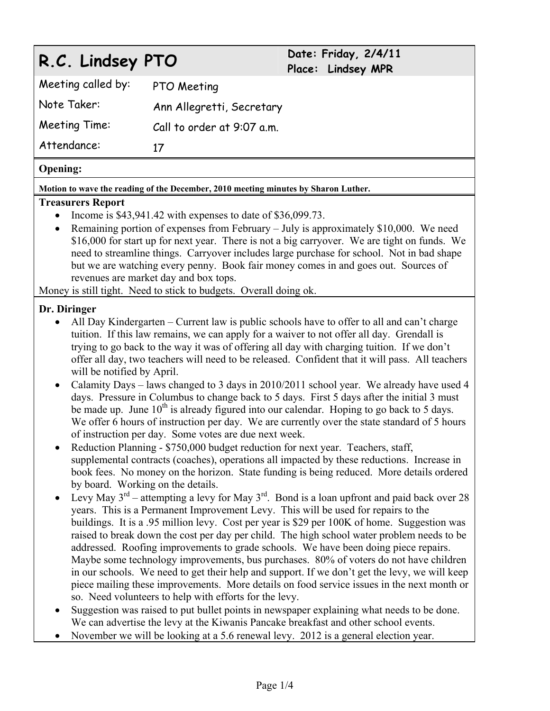# **R.C. Lindsey PTO Date: Friday, 2/4/11**

**Place: Lindsey MPR** 

Meeting called by: PTO Meeting Note Taker: Ann Allegretti, Secretary Meeting Time: Call to order at 9:07 a.m. Attendance: 17

## **Opening:**

**Motion to wave the reading of the December, 2010 meeting minutes by Sharon Luther.** 

#### **Treasurers Report**

- Income is  $$43,941.42$  with expenses to date of  $$36,099.73$ .
- Remaining portion of expenses from February July is approximately \$10,000. We need \$16,000 for start up for next year. There is not a big carryover. We are tight on funds. We need to streamline things. Carryover includes large purchase for school. Not in bad shape but we are watching every penny. Book fair money comes in and goes out. Sources of revenues are market day and box tops.

Money is still tight. Need to stick to budgets. Overall doing ok.

## **Dr. Diringer**

- All Day Kindergarten Current law is public schools have to offer to all and can't charge tuition. If this law remains, we can apply for a waiver to not offer all day. Grendall is trying to go back to the way it was of offering all day with charging tuition. If we don't offer all day, two teachers will need to be released. Confident that it will pass. All teachers will be notified by April.
- Calamity Days laws changed to 3 days in 2010/2011 school year. We already have used 4 days. Pressure in Columbus to change back to 5 days. First 5 days after the initial 3 must be made up. June  $10^{th}$  is already figured into our calendar. Hoping to go back to 5 days. We offer 6 hours of instruction per day. We are currently over the state standard of 5 hours of instruction per day. Some votes are due next week.
- Reduction Planning \$750,000 budget reduction for next year. Teachers, staff, supplemental contracts (coaches), operations all impacted by these reductions. Increase in book fees. No money on the horizon. State funding is being reduced. More details ordered by board. Working on the details.
- Evy May  $3^{rd}$  attempting a levy for May  $3^{rd}$ . Bond is a loan upfront and paid back over 28 years. This is a Permanent Improvement Levy. This will be used for repairs to the buildings. It is a .95 million levy. Cost per year is \$29 per 100K of home. Suggestion was raised to break down the cost per day per child. The high school water problem needs to be addressed. Roofing improvements to grade schools. We have been doing piece repairs. Maybe some technology improvements, bus purchases. 80% of voters do not have children in our schools. We need to get their help and support. If we don't get the levy, we will keep piece mailing these improvements. More details on food service issues in the next month or so. Need volunteers to help with efforts for the levy.
- Suggestion was raised to put bullet points in newspaper explaining what needs to be done. We can advertise the levy at the Kiwanis Pancake breakfast and other school events.
- November we will be looking at a 5.6 renewal levy. 2012 is a general election year.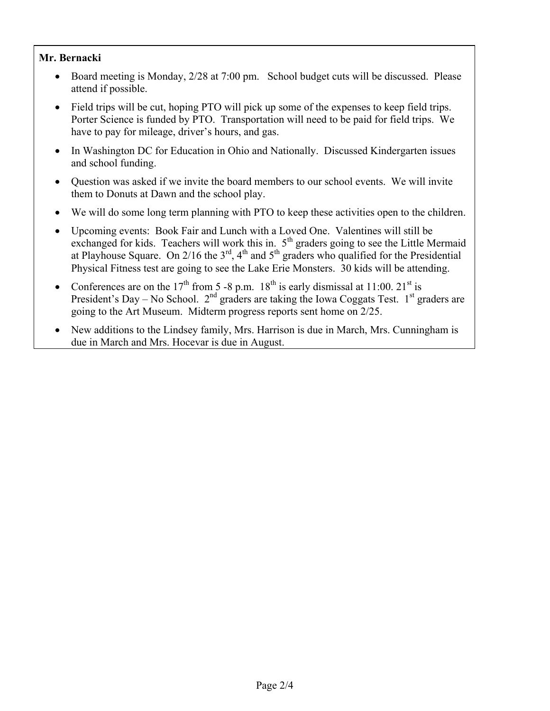# **Mr. Bernacki**

- Board meeting is Monday, 2/28 at 7:00 pm. School budget cuts will be discussed. Please attend if possible.
- Field trips will be cut, hoping PTO will pick up some of the expenses to keep field trips. Porter Science is funded by PTO. Transportation will need to be paid for field trips. We have to pay for mileage, driver's hours, and gas.
- In Washington DC for Education in Ohio and Nationally. Discussed Kindergarten issues and school funding.
- Question was asked if we invite the board members to our school events. We will invite them to Donuts at Dawn and the school play.
- We will do some long term planning with PTO to keep these activities open to the children.
- Upcoming events: Book Fair and Lunch with a Loved One. Valentines will still be exchanged for kids. Teachers will work this in.  $5<sup>th</sup>$  graders going to see the Little Mermaid at Playhouse Square. On 2/16 the  $3<sup>rd</sup>$ , 4<sup>th</sup> and 5<sup>th</sup> graders who qualified for the Presidential Physical Fitness test are going to see the Lake Erie Monsters. 30 kids will be attending.
- Conferences are on the 17<sup>th</sup> from 5 -8 p.m.  $18^{th}$  is early dismissal at 11:00.  $21^{st}$  is President's Day – No School.  $2<sup>nd</sup>$  graders are taking the Iowa Coggats Test. 1<sup>st</sup> graders are going to the Art Museum. Midterm progress reports sent home on 2/25.
- New additions to the Lindsey family, Mrs. Harrison is due in March, Mrs. Cunningham is due in March and Mrs. Hocevar is due in August.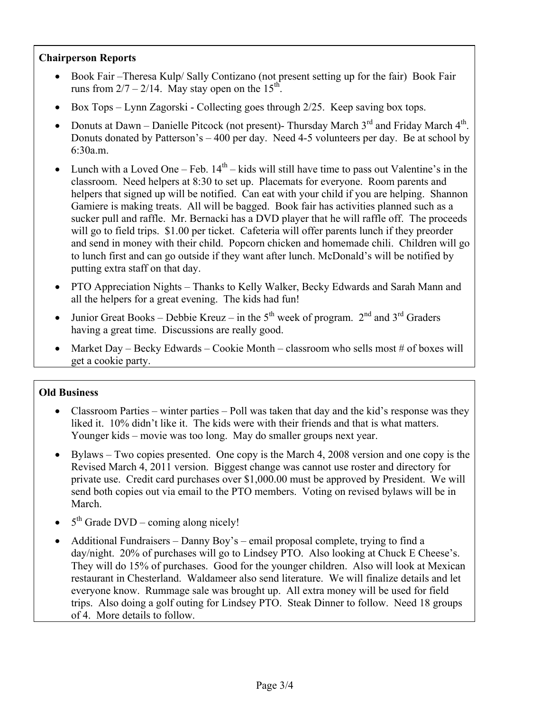### **Chairperson Reports**

- Book Fair –Theresa Kulp/ Sally Contizano (not present setting up for the fair) Book Fair runs from  $2/7 - 2/14$ . May stay open on the 15<sup>th</sup>.
- Box Tops Lynn Zagorski Collecting goes through 2/25. Keep saving box tops.
- Donuts at Dawn Danielle Pitcock (not present)- Thursday March  $3^{rd}$  and Friday March  $4^{th}$ . Donuts donated by Patterson's – 400 per day. Need 4-5 volunteers per day. Be at school by 6:30a.m.
- Eunch with a Loved One Feb.  $14<sup>th</sup>$  kids will still have time to pass out Valentine's in the classroom. Need helpers at 8:30 to set up. Placemats for everyone. Room parents and helpers that signed up will be notified. Can eat with your child if you are helping. Shannon Gamiere is making treats. All will be bagged. Book fair has activities planned such as a sucker pull and raffle. Mr. Bernacki has a DVD player that he will raffle off. The proceeds will go to field trips. \$1.00 per ticket. Cafeteria will offer parents lunch if they preorder and send in money with their child. Popcorn chicken and homemade chili. Children will go to lunch first and can go outside if they want after lunch. McDonald's will be notified by putting extra staff on that day.
- PTO Appreciation Nights Thanks to Kelly Walker, Becky Edwards and Sarah Mann and all the helpers for a great evening. The kids had fun!
- Junior Great Books Debbie Kreuz in the  $5<sup>th</sup>$  week of program.  $2<sup>nd</sup>$  and  $3<sup>rd</sup>$  Graders having a great time. Discussions are really good.
- Market Day Becky Edwards Cookie Month classroom who sells most # of boxes will get a cookie party.

## **Old Business**

- Classroom Parties winter parties Poll was taken that day and the kid's response was they liked it. 10% didn't like it. The kids were with their friends and that is what matters. Younger kids – movie was too long. May do smaller groups next year.
- Bylaws Two copies presented. One copy is the March 4, 2008 version and one copy is the Revised March 4, 2011 version. Biggest change was cannot use roster and directory for private use. Credit card purchases over \$1,000.00 must be approved by President. We will send both copies out via email to the PTO members. Voting on revised bylaws will be in March.
- $\bullet$  5<sup>th</sup> Grade DVD coming along nicely!
- Additional Fundraisers Danny Boy's email proposal complete, trying to find a day/night. 20% of purchases will go to Lindsey PTO. Also looking at Chuck E Cheese's. They will do 15% of purchases. Good for the younger children. Also will look at Mexican restaurant in Chesterland. Waldameer also send literature. We will finalize details and let everyone know. Rummage sale was brought up. All extra money will be used for field trips. Also doing a golf outing for Lindsey PTO. Steak Dinner to follow. Need 18 groups of 4. More details to follow.